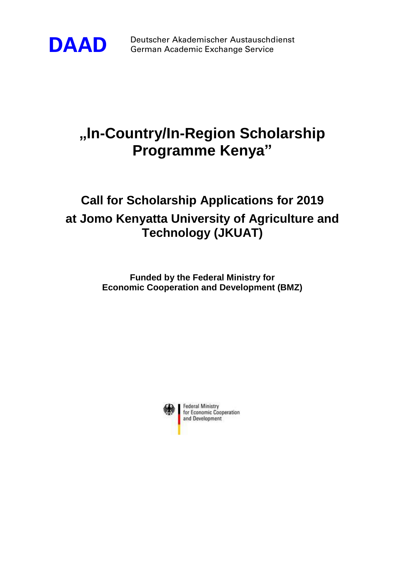

**DAAD** Deutscher Akademischer Austauschdienst German Academic Exchange Service

# **"In-Country/In-Region Scholarship Programme Kenya"**

# **Call for Scholarship Applications for 2019 at Jomo Kenyatta University of Agriculture and Technology (JKUAT)**

**Funded by the Federal Ministry for Economic Cooperation and Development (BMZ)**

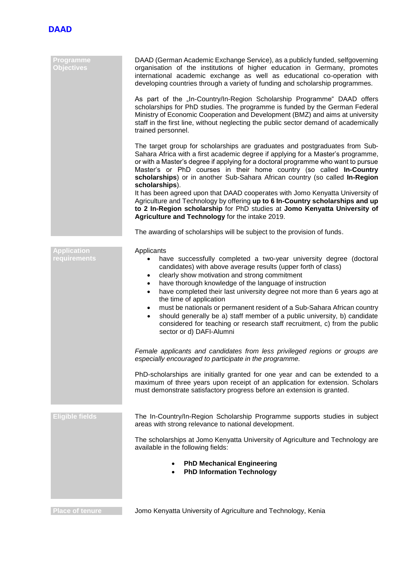

| Programme<br><b>Objectives</b>     | DAAD (German Academic Exchange Service), as a publicly funded, selfgoverning<br>organisation of the institutions of higher education in Germany, promotes<br>international academic exchange as well as educational co-operation with<br>developing countries through a variety of funding and scholarship programmes.                                                                                                                                                                                                                                                                                                                                                       |
|------------------------------------|------------------------------------------------------------------------------------------------------------------------------------------------------------------------------------------------------------------------------------------------------------------------------------------------------------------------------------------------------------------------------------------------------------------------------------------------------------------------------------------------------------------------------------------------------------------------------------------------------------------------------------------------------------------------------|
|                                    | As part of the "In-Country/In-Region Scholarship Programme" DAAD offers<br>scholarships for PhD studies. The programme is funded by the German Federal<br>Ministry of Economic Cooperation and Development (BMZ) and aims at university<br>staff in the first line, without neglecting the public sector demand of academically<br>trained personnel.                                                                                                                                                                                                                                                                                                                        |
|                                    | The target group for scholarships are graduates and postgraduates from Sub-<br>Sahara Africa with a first academic degree if applying for a Master's programme,<br>or with a Master's degree if applying for a doctoral programme who want to pursue<br>Master's or PhD courses in their home country (so called In-Country<br>scholarships) or in another Sub-Sahara African country (so called In-Region<br>scholarships).                                                                                                                                                                                                                                                 |
|                                    | It has been agreed upon that DAAD cooperates with Jomo Kenyatta University of<br>Agriculture and Technology by offering up to 6 In-Country scholarships and up<br>to 2 In-Region scholarship for PhD studies at Jomo Kenyatta University of<br>Agriculture and Technology for the intake 2019.                                                                                                                                                                                                                                                                                                                                                                               |
|                                    | The awarding of scholarships will be subject to the provision of funds.                                                                                                                                                                                                                                                                                                                                                                                                                                                                                                                                                                                                      |
| <b>Application</b><br>requirements | Applicants<br>have successfully completed a two-year university degree (doctoral<br>candidates) with above average results (upper forth of class)<br>clearly show motivation and strong commitment<br>$\bullet$<br>have thorough knowledge of the language of instruction<br>٠<br>have completed their last university degree not more than 6 years ago at<br>٠<br>the time of application<br>must be nationals or permanent resident of a Sub-Sahara African country<br>$\bullet$<br>should generally be a) staff member of a public university, b) candidate<br>٠<br>considered for teaching or research staff recruitment, c) from the public<br>sector or d) DAFI-Alumni |
|                                    | Female applicants and candidates from less privileged regions or groups are<br>especially encouraged to participate in the programme.                                                                                                                                                                                                                                                                                                                                                                                                                                                                                                                                        |
|                                    | PhD-scholarships are initially granted for one year and can be extended to a<br>maximum of three years upon receipt of an application for extension. Scholars<br>must demonstrate satisfactory progress before an extension is granted.                                                                                                                                                                                                                                                                                                                                                                                                                                      |
| <b>Eligible fields</b>             | The In-Country/In-Region Scholarship Programme supports studies in subject<br>areas with strong relevance to national development.                                                                                                                                                                                                                                                                                                                                                                                                                                                                                                                                           |
|                                    | The scholarships at Jomo Kenyatta University of Agriculture and Technology are<br>available in the following fields:                                                                                                                                                                                                                                                                                                                                                                                                                                                                                                                                                         |
|                                    | <b>PhD Mechanical Engineering</b><br><b>PhD Information Technology</b>                                                                                                                                                                                                                                                                                                                                                                                                                                                                                                                                                                                                       |
|                                    |                                                                                                                                                                                                                                                                                                                                                                                                                                                                                                                                                                                                                                                                              |

**Place of tenure Jomo Kenyatta University of Agriculture and Technology, Kenia**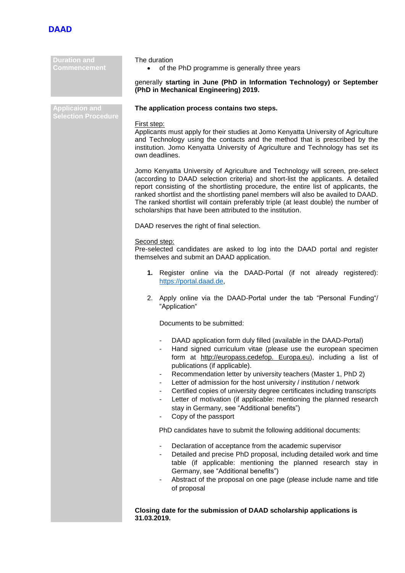

#### **Duration and Commencement**

The duration

• of the PhD programme is generally three years

# generally **starting in June (PhD in Information Technology) or September (PhD in Mechanical Engineering) 2019.**

# **The application process contains two steps.**

## First step:

Applicants must apply for their studies at Jomo Kenyatta University of Agriculture and Technology using the contacts and the method that is prescribed by the institution. Jomo Kenyatta University of Agriculture and Technology has set its own deadlines.

Jomo Kenyatta University of Agriculture and Technology will screen, pre-select (according to DAAD selection criteria) and short-list the applicants. A detailed report consisting of the shortlisting procedure, the entire list of applicants, the ranked shortlist and the shortlisting panel members will also be availed to DAAD. The ranked shortlist will contain preferably triple (at least double) the number of scholarships that have been attributed to the institution.

DAAD reserves the right of final selection.

## Second step:

Pre-selected candidates are asked to log into the DAAD portal and register themselves and submit an DAAD application.

- **1.** Register online via the DAAD-Portal (if not already registered): [https://portal.daad.de,](https://portal.daad.de/)
- 2. Apply online via the DAAD-Portal under the tab "Personal Funding"/ "Application"

Documents to be submitted:

- DAAD application form duly filled (available in the DAAD-Portal)
- Hand signed curriculum vitae (please use the european specimen form at http://europass.cedefop. Europa.eu), including a list of publications (if applicable).
- Recommendation letter by university teachers (Master 1, PhD 2)
- Letter of admission for the host university / institution / network
- Certified copies of university degree certificates including transcripts
- Letter of motivation (if applicable: mentioning the planned research stay in Germany, see "Additional benefits")
- Copy of the passport

PhD candidates have to submit the following additional documents:

- Declaration of acceptance from the academic supervisor
- Detailed and precise PhD proposal, including detailed work and time table (if applicable: mentioning the planned research stay in Germany, see "Additional benefits")
- Abstract of the proposal on one page (please include name and title of proposal

**Closing date for the submission of DAAD scholarship applications is 31.03.2019.**

**Applicaion and**